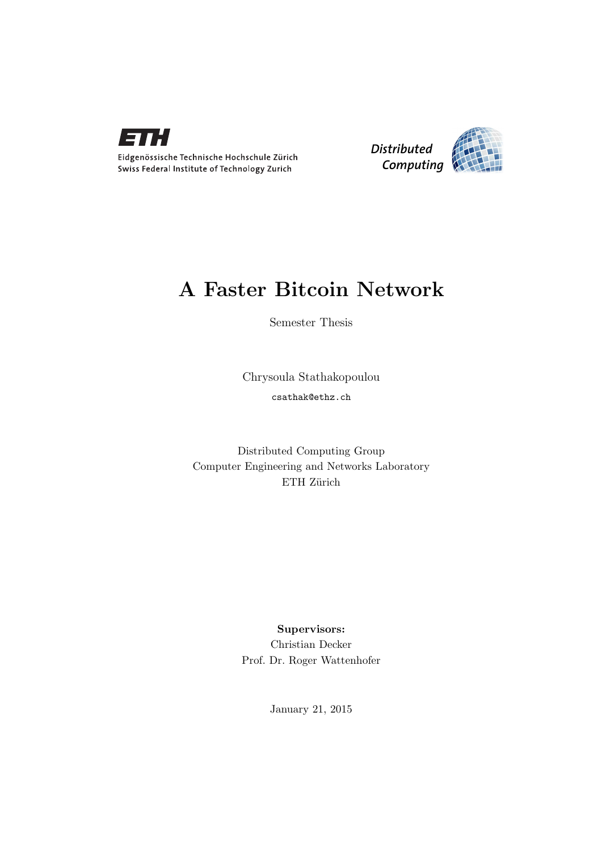



## A Faster Bitcoin Network

Semester Thesis

Chrysoula Stathakopoulou csathak@ethz.ch

Distributed Computing Group Computer Engineering and Networks Laboratory ETH Zürich

> Supervisors: Christian Decker Prof. Dr. Roger Wattenhofer

> > January 21, 2015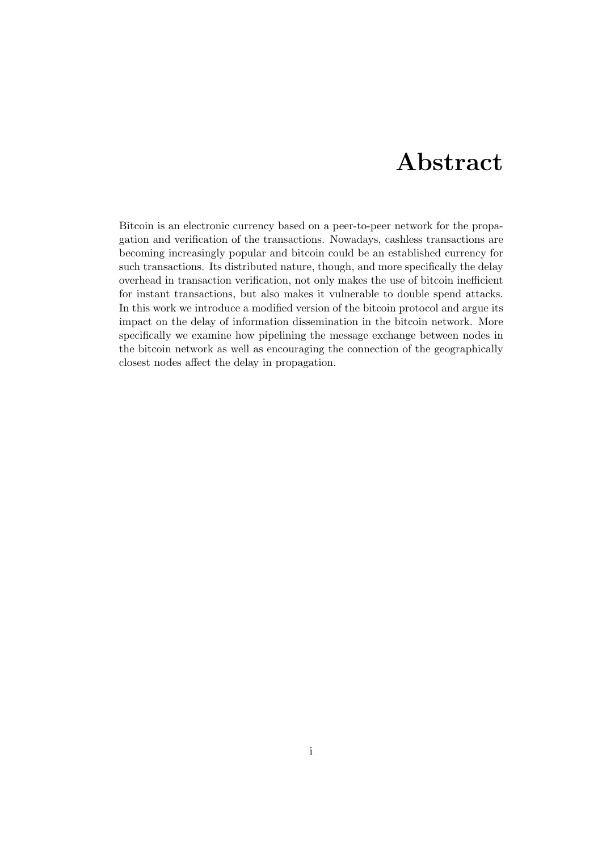# Abstract

<span id="page-1-0"></span>Bitcoin is an electronic currency based on a peer-to-peer network for the propagation and verification of the transactions. Nowadays, cashless transactions are becoming increasingly popular and bitcoin could be an established currency for such transactions. Its distributed nature, though, and more specifically the delay overhead in transaction verification, not only makes the use of bitcoin inefficient for instant transactions, but also makes it vulnerable to double spend attacks. In this work we introduce a modified version of the bitcoin protocol and argue its impact on the delay of information dissemination in the bitcoin network. More specifically we examine how pipelining the message exchange between nodes in the bitcoin network as well as encouraging the connection of the geographically closest nodes affect the delay in propagation.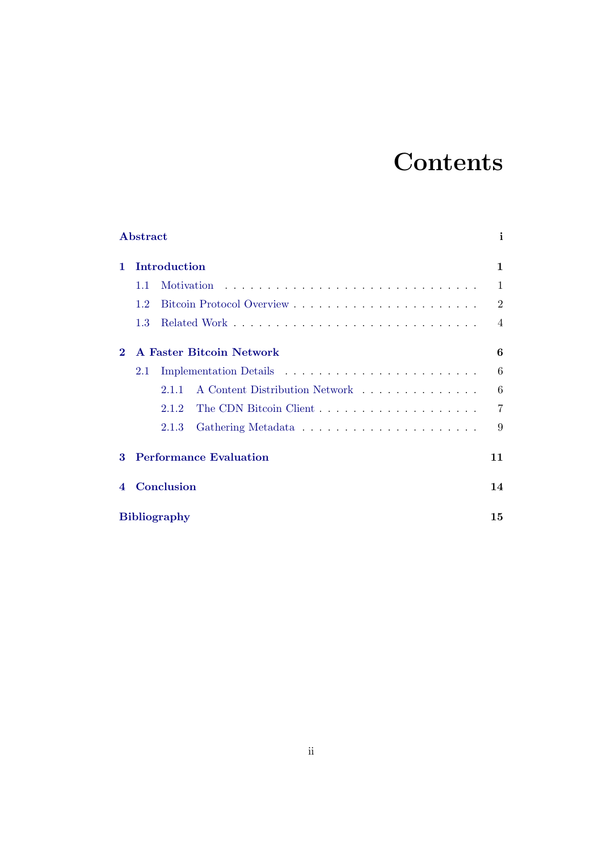# **Contents**

|                        | Abstract                      |                                         |  |    |  |  | i              |  |
|------------------------|-------------------------------|-----------------------------------------|--|----|--|--|----------------|--|
| 1.                     | Introduction                  |                                         |  |    |  |  |                |  |
|                        | 1.1                           | <b>Motivation</b>                       |  |    |  |  | 1              |  |
|                        | 1.2                           |                                         |  |    |  |  | $\overline{2}$ |  |
|                        | 1.3                           |                                         |  |    |  |  | $\overline{4}$ |  |
| $\bf{2}$               | A Faster Bitcoin Network      |                                         |  |    |  |  |                |  |
|                        | 2.1                           |                                         |  |    |  |  | 6              |  |
|                        |                               | A Content Distribution Network<br>2.1.1 |  |    |  |  | 6              |  |
|                        |                               | 2.1.2                                   |  |    |  |  | $\overline{7}$ |  |
|                        |                               | 2.1.3                                   |  |    |  |  | 9              |  |
| $\mathbf{R}$           | <b>Performance Evaluation</b> |                                         |  | 11 |  |  |                |  |
| $\boldsymbol{\Lambda}$ |                               | Conclusion                              |  |    |  |  | 14             |  |
|                        | <b>Bibliography</b><br>15     |                                         |  |    |  |  |                |  |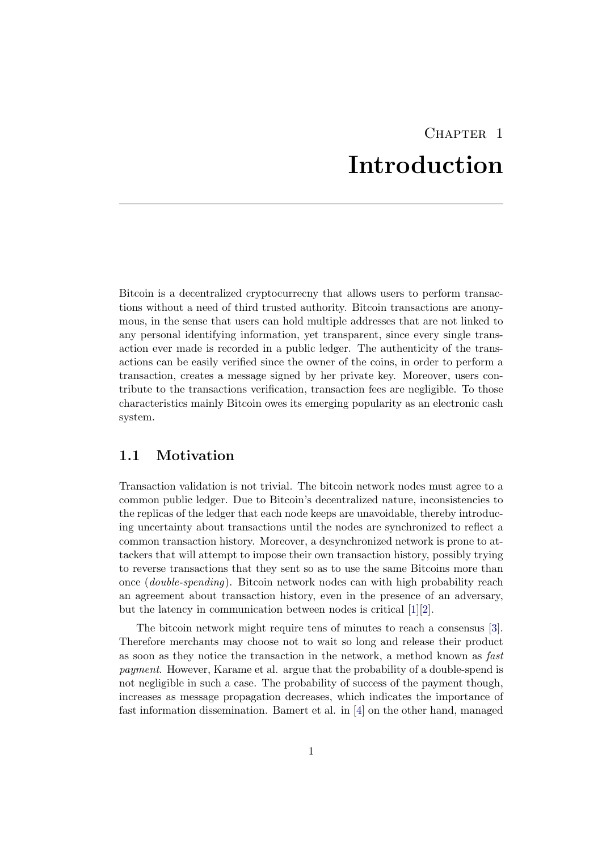# CHAPTER<sub>1</sub> Introduction

<span id="page-3-0"></span>Bitcoin is a decentralized cryptocurrecny that allows users to perform transactions without a need of third trusted authority. Bitcoin transactions are anonymous, in the sense that users can hold multiple addresses that are not linked to any personal identifying information, yet transparent, since every single transaction ever made is recorded in a public ledger. The authenticity of the transactions can be easily verified since the owner of the coins, in order to perform a transaction, creates a message signed by her private key. Moreover, users contribute to the transactions verification, transaction fees are negligible. To those characteristics mainly Bitcoin owes its emerging popularity as an electronic cash system.

## <span id="page-3-1"></span>1.1 Motivation

Transaction validation is not trivial. The bitcoin network nodes must agree to a common public ledger. Due to Bitcoin's decentralized nature, inconsistencies to the replicas of the ledger that each node keeps are unavoidable, thereby introducing uncertainty about transactions until the nodes are synchronized to reflect a common transaction history. Moreover, a desynchronized network is prone to attackers that will attempt to impose their own transaction history, possibly trying to reverse transactions that they sent so as to use the same Bitcoins more than once (double-spending). Bitcoin network nodes can with high probability reach an agreement about transaction history, even in the presence of an adversary, but the latency in communication between nodes is critical [\[1\]](#page-17-1)[\[2\]](#page-17-2).

The bitcoin network might require tens of minutes to reach a consensus [\[3\]](#page-17-3). Therefore merchants may choose not to wait so long and release their product as soon as they notice the transaction in the network, a method known as fast payment. However, Karame et al. argue that the probability of a double-spend is not negligible in such a case. The probability of success of the payment though, increases as message propagation decreases, which indicates the importance of fast information dissemination. Bamert et al. in [\[4\]](#page-17-4) on the other hand, managed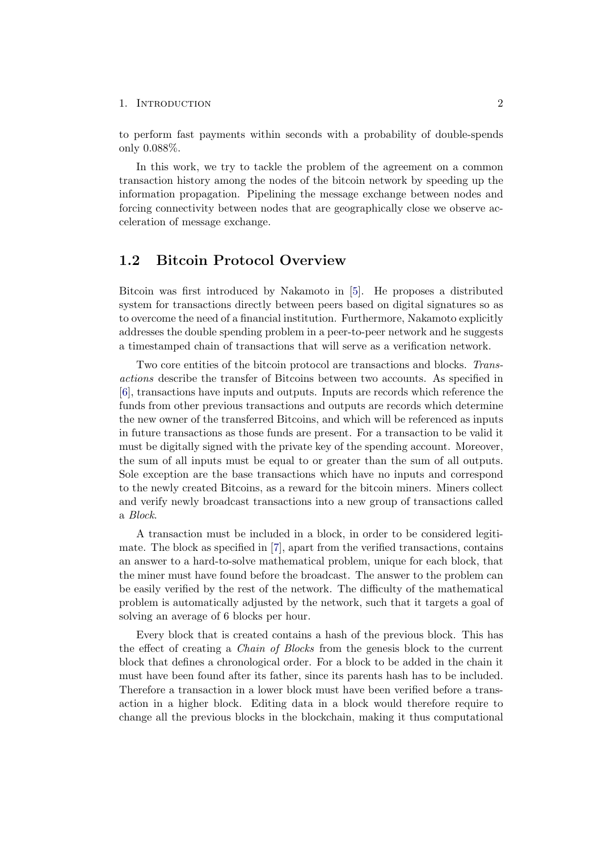to perform fast payments within seconds with a probability of double-spends only 0.088%.

In this work, we try to tackle the problem of the agreement on a common transaction history among the nodes of the bitcoin network by speeding up the information propagation. Pipelining the message exchange between nodes and forcing connectivity between nodes that are geographically close we observe acceleration of message exchange.

## <span id="page-4-0"></span>1.2 Bitcoin Protocol Overview

Bitcoin was first introduced by Nakamoto in [\[5\]](#page-17-5). He proposes a distributed system for transactions directly between peers based on digital signatures so as to overcome the need of a financial institution. Furthermore, Nakamoto explicitly addresses the double spending problem in a peer-to-peer network and he suggests a timestamped chain of transactions that will serve as a verification network.

Two core entities of the bitcoin protocol are transactions and blocks. Transactions describe the transfer of Bitcoins between two accounts. As specified in [\[6\]](#page-17-6), transactions have inputs and outputs. Inputs are records which reference the funds from other previous transactions and outputs are records which determine the new owner of the transferred Bitcoins, and which will be referenced as inputs in future transactions as those funds are present. For a transaction to be valid it must be digitally signed with the private key of the spending account. Moreover, the sum of all inputs must be equal to or greater than the sum of all outputs. Sole exception are the base transactions which have no inputs and correspond to the newly created Bitcoins, as a reward for the bitcoin miners. Miners collect and verify newly broadcast transactions into a new group of transactions called a Block.

A transaction must be included in a block, in order to be considered legitimate. The block as specified in [\[7\]](#page-17-7), apart from the verified transactions, contains an answer to a hard-to-solve mathematical problem, unique for each block, that the miner must have found before the broadcast. The answer to the problem can be easily verified by the rest of the network. The difficulty of the mathematical problem is automatically adjusted by the network, such that it targets a goal of solving an average of 6 blocks per hour.

Every block that is created contains a hash of the previous block. This has the effect of creating a Chain of Blocks from the genesis block to the current block that defines a chronological order. For a block to be added in the chain it must have been found after its father, since its parents hash has to be included. Therefore a transaction in a lower block must have been verified before a transaction in a higher block. Editing data in a block would therefore require to change all the previous blocks in the blockchain, making it thus computational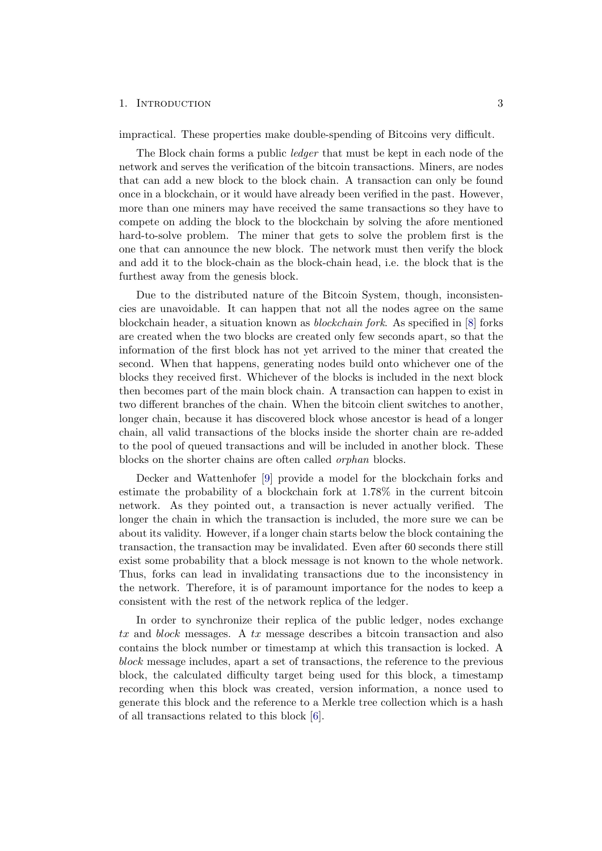impractical. These properties make double-spending of Bitcoins very difficult.

The Block chain forms a public *ledger* that must be kept in each node of the network and serves the verification of the bitcoin transactions. Miners, are nodes that can add a new block to the block chain. A transaction can only be found once in a blockchain, or it would have already been verified in the past. However, more than one miners may have received the same transactions so they have to compete on adding the block to the blockchain by solving the afore mentioned hard-to-solve problem. The miner that gets to solve the problem first is the one that can announce the new block. The network must then verify the block and add it to the block-chain as the block-chain head, i.e. the block that is the furthest away from the genesis block.

Due to the distributed nature of the Bitcoin System, though, inconsistencies are unavoidable. It can happen that not all the nodes agree on the same blockchain header, a situation known as blockchain fork. As specified in [\[8\]](#page-17-8) forks are created when the two blocks are created only few seconds apart, so that the information of the first block has not yet arrived to the miner that created the second. When that happens, generating nodes build onto whichever one of the blocks they received first. Whichever of the blocks is included in the next block then becomes part of the main block chain. A transaction can happen to exist in two different branches of the chain. When the bitcoin client switches to another, longer chain, because it has discovered block whose ancestor is head of a longer chain, all valid transactions of the blocks inside the shorter chain are re-added to the pool of queued transactions and will be included in another block. These blocks on the shorter chains are often called orphan blocks.

Decker and Wattenhofer [\[9\]](#page-17-9) provide a model for the blockchain forks and estimate the probability of a blockchain fork at 1.78% in the current bitcoin network. As they pointed out, a transaction is never actually verified. The longer the chain in which the transaction is included, the more sure we can be about its validity. However, if a longer chain starts below the block containing the transaction, the transaction may be invalidated. Even after 60 seconds there still exist some probability that a block message is not known to the whole network. Thus, forks can lead in invalidating transactions due to the inconsistency in the network. Therefore, it is of paramount importance for the nodes to keep a consistent with the rest of the network replica of the ledger.

In order to synchronize their replica of the public ledger, nodes exchange tx and block messages. A tx message describes a bitcoin transaction and also contains the block number or timestamp at which this transaction is locked. A block message includes, apart a set of transactions, the reference to the previous block, the calculated difficulty target being used for this block, a timestamp recording when this block was created, version information, a nonce used to generate this block and the reference to a Merkle tree collection which is a hash of all transactions related to this block [\[6\]](#page-17-6).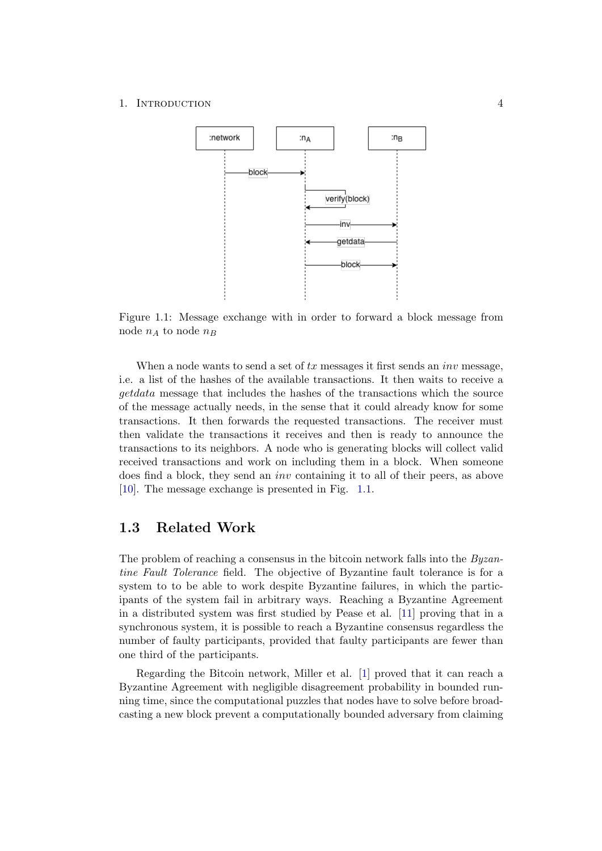<span id="page-6-1"></span>

Figure 1.1: Message exchange with in order to forward a block message from node  $n_A$  to node  $n_B$ 

When a node wants to send a set of  $tx$  messages it first sends an  $inv$  message, i.e. a list of the hashes of the available transactions. It then waits to receive a getdata message that includes the hashes of the transactions which the source of the message actually needs, in the sense that it could already know for some transactions. It then forwards the requested transactions. The receiver must then validate the transactions it receives and then is ready to announce the transactions to its neighbors. A node who is generating blocks will collect valid received transactions and work on including them in a block. When someone does find a block, they send an inv containing it to all of their peers, as above [\[10\]](#page-17-10). The message exchange is presented in Fig. [1.1.](#page-6-1)

## <span id="page-6-0"></span>1.3 Related Work

The problem of reaching a consensus in the bitcoin network falls into the *Byzan*tine Fault Tolerance field. The objective of Byzantine fault tolerance is for a system to to be able to work despite Byzantine failures, in which the participants of the system fail in arbitrary ways. Reaching a Byzantine Agreement in a distributed system was first studied by Pease et al. [\[11\]](#page-17-11) proving that in a synchronous system, it is possible to reach a Byzantine consensus regardless the number of faulty participants, provided that faulty participants are fewer than one third of the participants.

Regarding the Bitcoin network, Miller et al. [\[1\]](#page-17-1) proved that it can reach a Byzantine Agreement with negligible disagreement probability in bounded running time, since the computational puzzles that nodes have to solve before broadcasting a new block prevent a computationally bounded adversary from claiming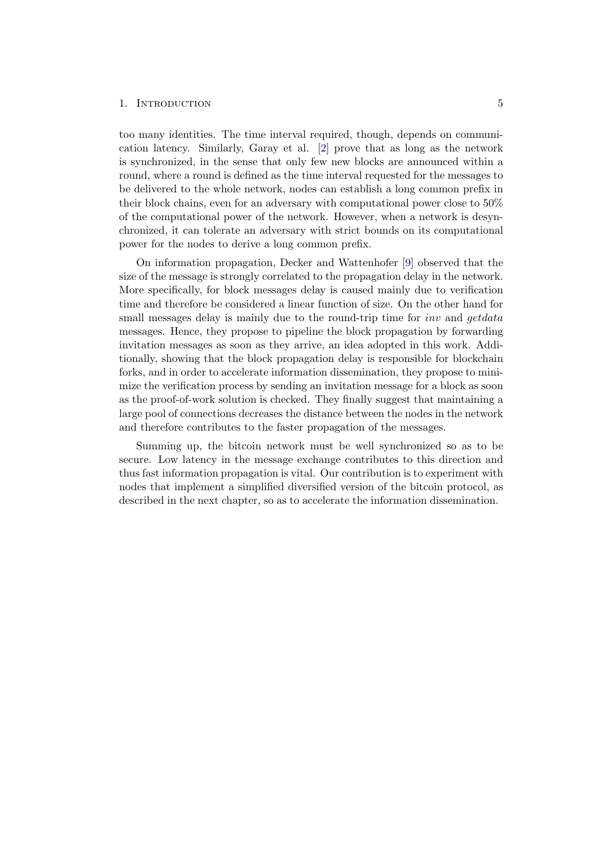too many identities. The time interval required, though, depends on communication latency. Similarly, Garay et al. [\[2\]](#page-17-2) prove that as long as the network is synchronized, in the sense that only few new blocks are announced within a round, where a round is defined as the time interval requested for the messages to be delivered to the whole network, nodes can establish a long common prefix in their block chains, even for an adversary with computational power close to 50% of the computational power of the network. However, when a network is desynchronized, it can tolerate an adversary with strict bounds on its computational power for the nodes to derive a long common prefix.

On information propagation, Decker and Wattenhofer [\[9\]](#page-17-9) observed that the size of the message is strongly correlated to the propagation delay in the network. More specifically, for block messages delay is caused mainly due to verification time and therefore be considered a linear function of size. On the other hand for small messages delay is mainly due to the round-trip time for *inv* and *getdata* messages. Hence, they propose to pipeline the block propagation by forwarding invitation messages as soon as they arrive, an idea adopted in this work. Additionally, showing that the block propagation delay is responsible for blockchain forks, and in order to accelerate information dissemination, they propose to minimize the verification process by sending an invitation message for a block as soon as the proof-of-work solution is checked. They finally suggest that maintaining a large pool of connections decreases the distance between the nodes in the network and therefore contributes to the faster propagation of the messages.

Summing up, the bitcoin network must be well synchronized so as to be secure. Low latency in the message exchange contributes to this direction and thus fast information propagation is vital. Our contribution is to experiment with nodes that implement a simplified diversified version of the bitcoin protocol, as described in the next chapter, so as to accelerate the information dissemination.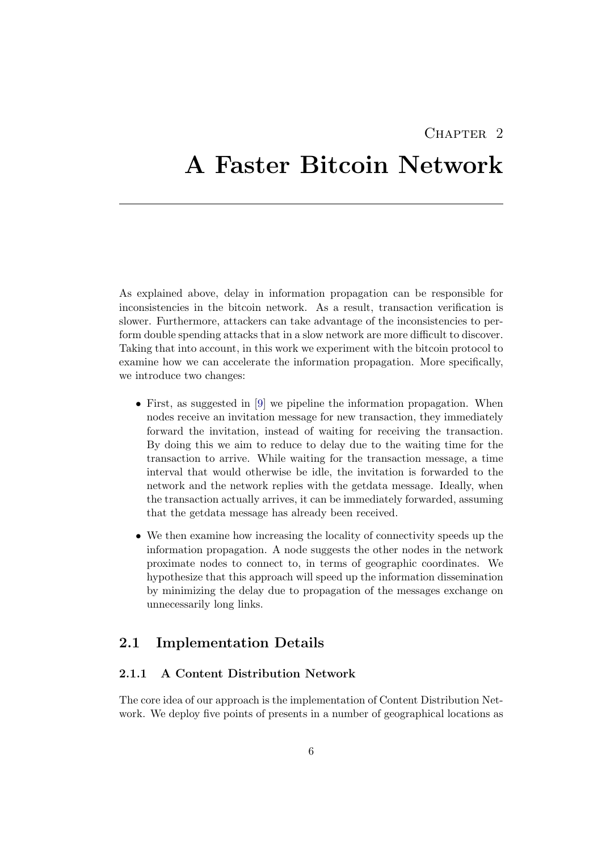## CHAPTER<sub>2</sub>

# <span id="page-8-0"></span>A Faster Bitcoin Network

As explained above, delay in information propagation can be responsible for inconsistencies in the bitcoin network. As a result, transaction verification is slower. Furthermore, attackers can take advantage of the inconsistencies to perform double spending attacks that in a slow network are more difficult to discover. Taking that into account, in this work we experiment with the bitcoin protocol to examine how we can accelerate the information propagation. More specifically, we introduce two changes:

- First, as suggested in [\[9\]](#page-17-9) we pipeline the information propagation. When nodes receive an invitation message for new transaction, they immediately forward the invitation, instead of waiting for receiving the transaction. By doing this we aim to reduce to delay due to the waiting time for the transaction to arrive. While waiting for the transaction message, a time interval that would otherwise be idle, the invitation is forwarded to the network and the network replies with the getdata message. Ideally, when the transaction actually arrives, it can be immediately forwarded, assuming that the getdata message has already been received.
- We then examine how increasing the locality of connectivity speeds up the information propagation. A node suggests the other nodes in the network proximate nodes to connect to, in terms of geographic coordinates. We hypothesize that this approach will speed up the information dissemination by minimizing the delay due to propagation of the messages exchange on unnecessarily long links.

## <span id="page-8-1"></span>2.1 Implementation Details

### <span id="page-8-2"></span>2.1.1 A Content Distribution Network

The core idea of our approach is the implementation of Content Distribution Network. We deploy five points of presents in a number of geographical locations as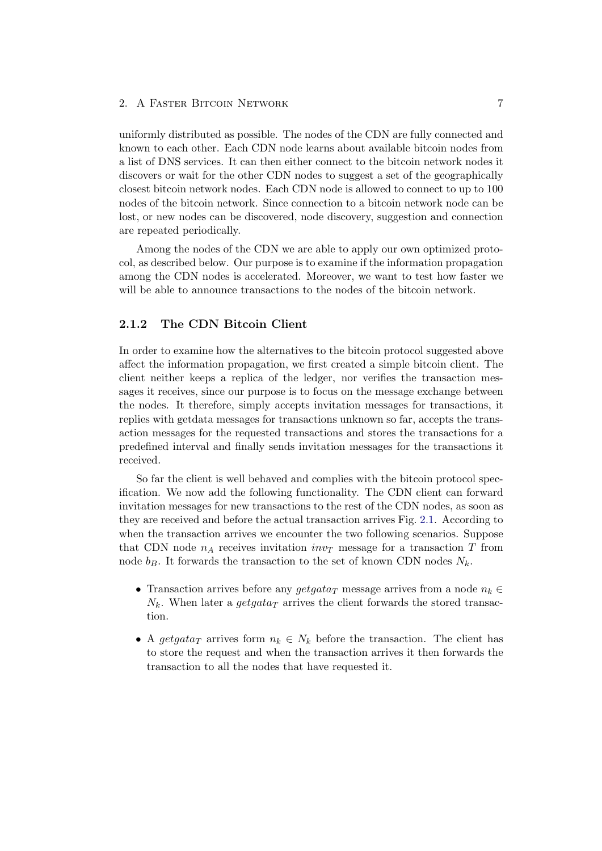#### 2. A FASTER BITCOIN NETWORK 7

uniformly distributed as possible. The nodes of the CDN are fully connected and known to each other. Each CDN node learns about available bitcoin nodes from a list of DNS services. It can then either connect to the bitcoin network nodes it discovers or wait for the other CDN nodes to suggest a set of the geographically closest bitcoin network nodes. Each CDN node is allowed to connect to up to 100 nodes of the bitcoin network. Since connection to a bitcoin network node can be lost, or new nodes can be discovered, node discovery, suggestion and connection are repeated periodically.

Among the nodes of the CDN we are able to apply our own optimized protocol, as described below. Our purpose is to examine if the information propagation among the CDN nodes is accelerated. Moreover, we want to test how faster we will be able to announce transactions to the nodes of the bitcoin network.

#### <span id="page-9-0"></span>2.1.2 The CDN Bitcoin Client

In order to examine how the alternatives to the bitcoin protocol suggested above affect the information propagation, we first created a simple bitcoin client. The client neither keeps a replica of the ledger, nor verifies the transaction messages it receives, since our purpose is to focus on the message exchange between the nodes. It therefore, simply accepts invitation messages for transactions, it replies with getdata messages for transactions unknown so far, accepts the transaction messages for the requested transactions and stores the transactions for a predefined interval and finally sends invitation messages for the transactions it received.

So far the client is well behaved and complies with the bitcoin protocol specification. We now add the following functionality. The CDN client can forward invitation messages for new transactions to the rest of the CDN nodes, as soon as they are received and before the actual transaction arrives Fig. [2.1.](#page-10-0) According to when the transaction arrives we encounter the two following scenarios. Suppose that CDN node  $n_A$  receives invitation  $inv_T$  message for a transaction T from node  $b_B$ . It forwards the transaction to the set of known CDN nodes  $N_k$ .

- Transaction arrives before any getgata<sub>T</sub> message arrives from a node  $n_k \in$  $N_k$ . When later a getgata<sub>T</sub> arrives the client forwards the stored transaction.
- A getgata<sub>T</sub> arrives form  $n_k \in N_k$  before the transaction. The client has to store the request and when the transaction arrives it then forwards the transaction to all the nodes that have requested it.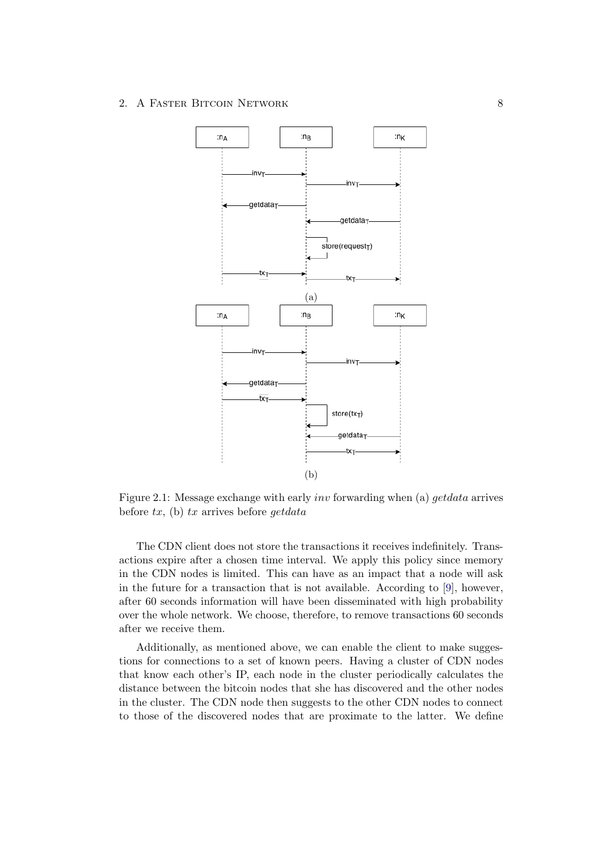<span id="page-10-0"></span>

Figure 2.1: Message exchange with early inv forwarding when (a) getdata arrives before  $tx$ , (b)  $tx$  arrives before getdata

The CDN client does not store the transactions it receives indefinitely. Transactions expire after a chosen time interval. We apply this policy since memory in the CDN nodes is limited. This can have as an impact that a node will ask in the future for a transaction that is not available. According to [\[9\]](#page-17-9), however, after 60 seconds information will have been disseminated with high probability over the whole network. We choose, therefore, to remove transactions 60 seconds after we receive them.

Additionally, as mentioned above, we can enable the client to make suggestions for connections to a set of known peers. Having a cluster of CDN nodes that know each other's IP, each node in the cluster periodically calculates the distance between the bitcoin nodes that she has discovered and the other nodes in the cluster. The CDN node then suggests to the other CDN nodes to connect to those of the discovered nodes that are proximate to the latter. We define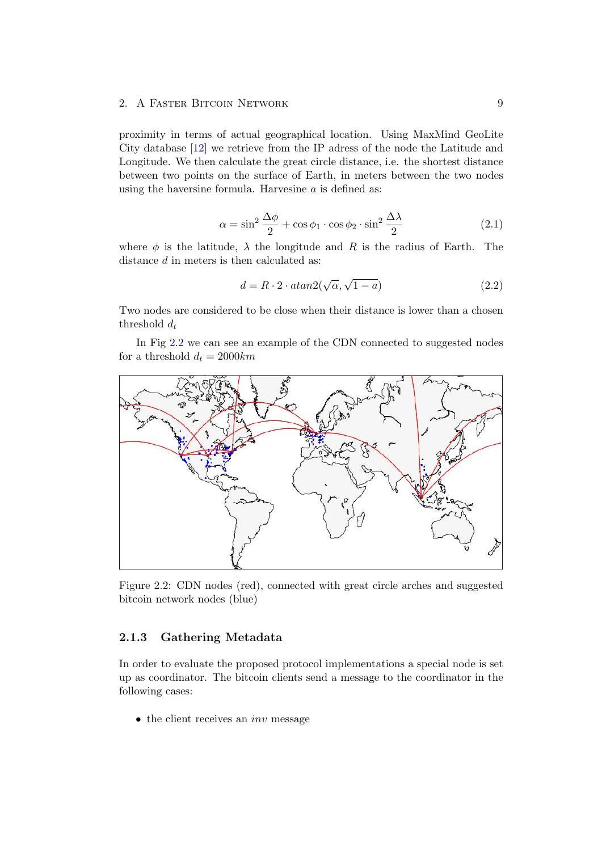#### 2. A FASTER BITCOIN NETWORK 9

proximity in terms of actual geographical location. Using MaxMind GeoLite City database [\[12\]](#page-17-12) we retrieve from the IP adress of the node the Latitude and Longitude. We then calculate the great circle distance, i.e. the shortest distance between two points on the surface of Earth, in meters between the two nodes using the haversine formula. Harvesine  $a$  is defined as:

$$
\alpha = \sin^2 \frac{\Delta \phi}{2} + \cos \phi_1 \cdot \cos \phi_2 \cdot \sin^2 \frac{\Delta \lambda}{2}
$$
 (2.1)

where  $\phi$  is the latitude,  $\lambda$  the longitude and R is the radius of Earth. The distance d in meters is then calculated as:

$$
d = R \cdot 2 \cdot \operatorname{atan2}(\sqrt{\alpha}, \sqrt{1 - a}) \tag{2.2}
$$

Two nodes are considered to be close when their distance is lower than a chosen threshold  $d_t$ 

In Fig [2.2](#page-11-1) we can see an example of the CDN connected to suggested nodes for a threshold  $d_t = 2000km$ 

<span id="page-11-1"></span>

Figure 2.2: CDN nodes (red), connected with great circle arches and suggested bitcoin network nodes (blue)

### <span id="page-11-0"></span>2.1.3 Gathering Metadata

In order to evaluate the proposed protocol implementations a special node is set up as coordinator. The bitcoin clients send a message to the coordinator in the following cases:

 $\bullet$  the client receives an *inv* message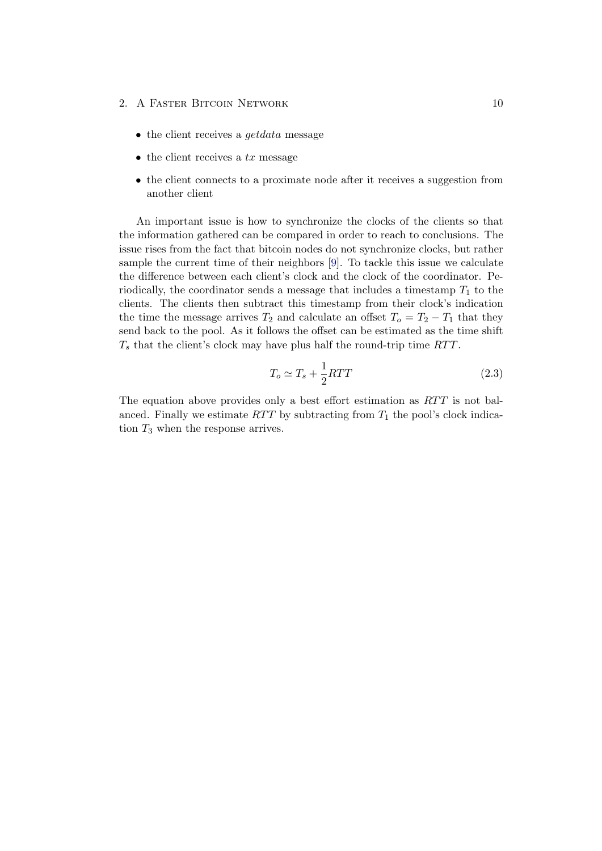- 2. A FASTER BITCOIN NETWORK 10
	- the client receives a *get data* message
	- $\bullet$  the client receives a tx message
	- the client connects to a proximate node after it receives a suggestion from another client

An important issue is how to synchronize the clocks of the clients so that the information gathered can be compared in order to reach to conclusions. The issue rises from the fact that bitcoin nodes do not synchronize clocks, but rather sample the current time of their neighbors [\[9\]](#page-17-9). To tackle this issue we calculate the difference between each client's clock and the clock of the coordinator. Periodically, the coordinator sends a message that includes a timestamp  $T_1$  to the clients. The clients then subtract this timestamp from their clock's indication the time the message arrives  $T_2$  and calculate an offset  $T_0 = T_2 - T_1$  that they send back to the pool. As it follows the offset can be estimated as the time shift  $T_s$  that the client's clock may have plus half the round-trip time  $RTT$ .

$$
T_o \simeq T_s + \frac{1}{2}RTT \tag{2.3}
$$

The equation above provides only a best effort estimation as  $RTT$  is not balanced. Finally we estimate  $RTT$  by subtracting from  $T_1$  the pool's clock indication  $T_3$  when the response arrives.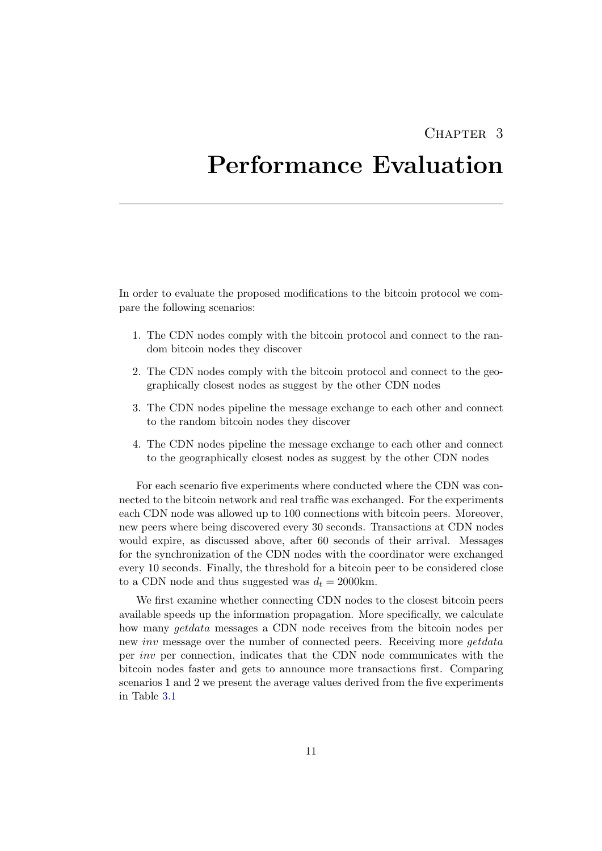## CHAPTER<sub>3</sub>

## <span id="page-13-0"></span>Performance Evaluation

In order to evaluate the proposed modifications to the bitcoin protocol we compare the following scenarios:

- 1. The CDN nodes comply with the bitcoin protocol and connect to the random bitcoin nodes they discover
- 2. The CDN nodes comply with the bitcoin protocol and connect to the geographically closest nodes as suggest by the other CDN nodes
- 3. The CDN nodes pipeline the message exchange to each other and connect to the random bitcoin nodes they discover
- 4. The CDN nodes pipeline the message exchange to each other and connect to the geographically closest nodes as suggest by the other CDN nodes

For each scenario five experiments where conducted where the CDN was connected to the bitcoin network and real traffic was exchanged. For the experiments each CDN node was allowed up to 100 connections with bitcoin peers. Moreover, new peers where being discovered every 30 seconds. Transactions at CDN nodes would expire, as discussed above, after 60 seconds of their arrival. Messages for the synchronization of the CDN nodes with the coordinator were exchanged every 10 seconds. Finally, the threshold for a bitcoin peer to be considered close to a CDN node and thus suggested was  $d_t = 2000$ km.

We first examine whether connecting CDN nodes to the closest bitcoin peers available speeds up the information propagation. More specifically, we calculate how many getdata messages a CDN node receives from the bitcoin nodes per new inv message over the number of connected peers. Receiving more getdata per inv per connection, indicates that the CDN node communicates with the bitcoin nodes faster and gets to announce more transactions first. Comparing scenarios 1 and 2 we present the average values derived from the five experiments in Table [3.1](#page-14-0)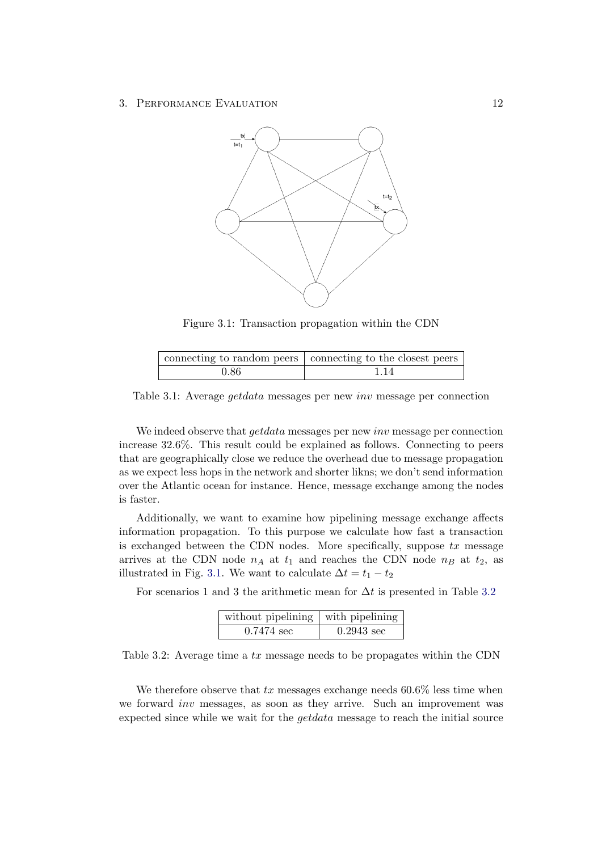<span id="page-14-1"></span>

Figure 3.1: Transaction propagation within the CDN

<span id="page-14-0"></span>

|      | connecting to random peers connecting to the closest peers |
|------|------------------------------------------------------------|
| 0.86 | 1 14                                                       |

Table 3.1: Average getdata messages per new inv message per connection

We indeed observe that *getdata* messages per new *inv* message per connection increase 32.6%. This result could be explained as follows. Connecting to peers that are geographically close we reduce the overhead due to message propagation as we expect less hops in the network and shorter likns; we don't send information over the Atlantic ocean for instance. Hence, message exchange among the nodes is faster.

Additionally, we want to examine how pipelining message exchange affects information propagation. To this purpose we calculate how fast a transaction is exchanged between the CDN nodes. More specifically, suppose  $tx$  message arrives at the CDN node  $n_A$  at  $t_1$  and reaches the CDN node  $n_B$  at  $t_2$ , as illustrated in Fig. [3.1.](#page-14-1) We want to calculate  $\Delta t = t_1 - t_2$ 

<span id="page-14-2"></span>For scenarios 1 and 3 the arithmetic mean for  $\Delta t$  is presented in Table [3.2](#page-14-2)

| without pipelining $\vert$ with pipelining $\vert$ |                      |  |  |
|----------------------------------------------------|----------------------|--|--|
| $0.7474 \text{ sec}$                               | $0.2943 \text{ sec}$ |  |  |

Table 3.2: Average time a tx message needs to be propagates within the CDN

We therefore observe that  $tx$  messages exchange needs 60.6% less time when we forward inv messages, as soon as they arrive. Such an improvement was expected since while we wait for the getdata message to reach the initial source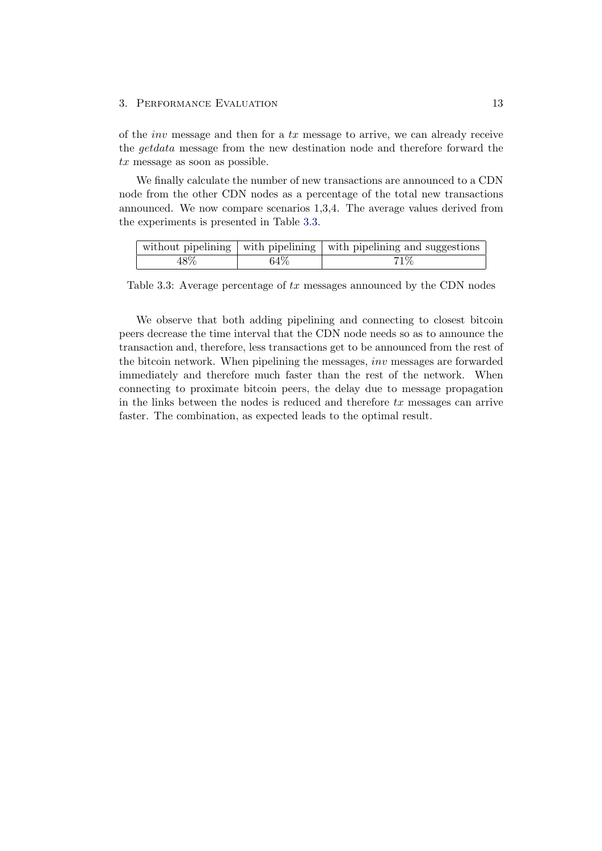#### 3. PERFORMANCE EVALUATION 13

of the *inv* message and then for a  $tx$  message to arrive, we can already receive the getdata message from the new destination node and therefore forward the  $tx$  message as soon as possible.

We finally calculate the number of new transactions are announced to a CDN node from the other CDN nodes as a percentage of the total new transactions announced. We now compare scenarios 1,3,4. The average values derived from the experiments is presented in Table [3.3.](#page-15-0)

<span id="page-15-0"></span>

|     |      | without pipelining $\vert$ with pipelining $\vert$ with pipelining and suggestions |
|-----|------|------------------------------------------------------------------------------------|
| 48% | 64\% | 71%                                                                                |

Table 3.3: Average percentage of  $tx$  messages announced by the CDN nodes

We observe that both adding pipelining and connecting to closest bitcoin peers decrease the time interval that the CDN node needs so as to announce the transaction and, therefore, less transactions get to be announced from the rest of the bitcoin network. When pipelining the messages, inv messages are forwarded immediately and therefore much faster than the rest of the network. When connecting to proximate bitcoin peers, the delay due to message propagation in the links between the nodes is reduced and therefore  $tx$  messages can arrive faster. The combination, as expected leads to the optimal result.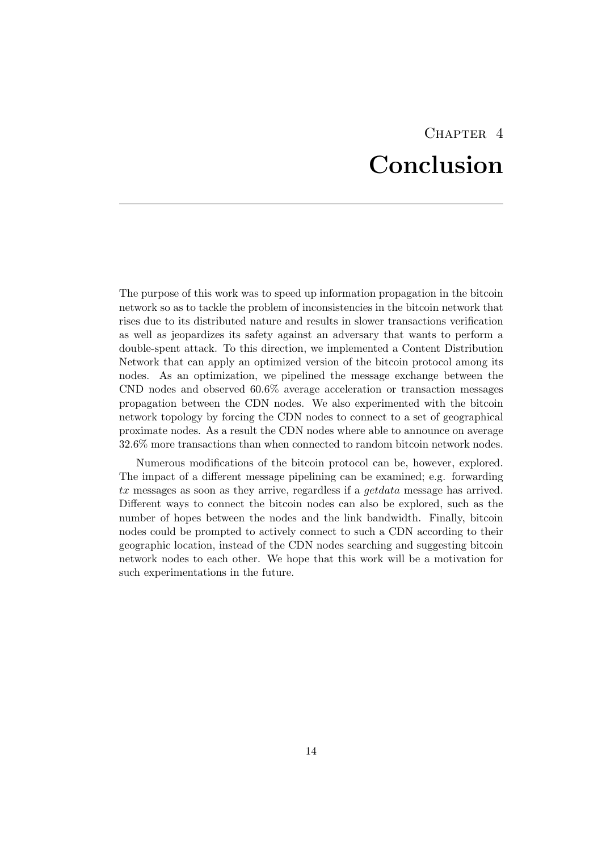# CHAPTER<sub>4</sub> Conclusion

<span id="page-16-0"></span>The purpose of this work was to speed up information propagation in the bitcoin network so as to tackle the problem of inconsistencies in the bitcoin network that rises due to its distributed nature and results in slower transactions verification as well as jeopardizes its safety against an adversary that wants to perform a double-spent attack. To this direction, we implemented a Content Distribution Network that can apply an optimized version of the bitcoin protocol among its nodes. As an optimization, we pipelined the message exchange between the CND nodes and observed 60.6% average acceleration or transaction messages propagation between the CDN nodes. We also experimented with the bitcoin network topology by forcing the CDN nodes to connect to a set of geographical proximate nodes. As a result the CDN nodes where able to announce on average 32.6% more transactions than when connected to random bitcoin network nodes.

Numerous modifications of the bitcoin protocol can be, however, explored. The impact of a different message pipelining can be examined; e.g. forwarding tx messages as soon as they arrive, regardless if a getdata message has arrived. Different ways to connect the bitcoin nodes can also be explored, such as the number of hopes between the nodes and the link bandwidth. Finally, bitcoin nodes could be prompted to actively connect to such a CDN according to their geographic location, instead of the CDN nodes searching and suggesting bitcoin network nodes to each other. We hope that this work will be a motivation for such experimentations in the future.